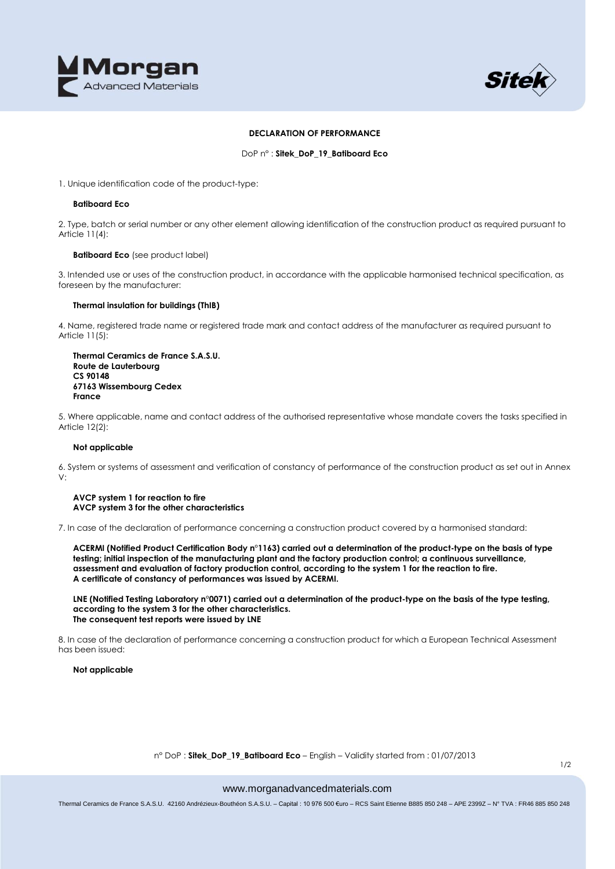



### **DECLARATION OF PERFORMANCE**

DoP n° : **Sitek\_DoP\_19\_Batiboard Eco**

1. Unique identification code of the product-type:

### **Batiboard Eco**

2. Type, batch or serial number or any other element allowing identification of the construction product as required pursuant to Article 11(4):

# **Batiboard Eco** (see product label)

3. Intended use or uses of the construction product, in accordance with the applicable harmonised technical specification, as foreseen by the manufacturer:

# **Thermal insulation for buildings (ThIB)**

4. Name, registered trade name or registered trade mark and contact address of the manufacturer as required pursuant to Article 11(5):

## **Thermal Ceramics de France S.A.S.U. Route de Lauterbourg CS 90148 67163 Wissembourg Cedex France**

5. Where applicable, name and contact address of the authorised representative whose mandate covers the tasks specified in Article 12(2):

# **Not applicable**

6. System or systems of assessment and verification of constancy of performance of the construction product as set out in Annex V:

#### **AVCP system 1 for reaction to fire AVCP system 3 for the other characteristics**

7. In case of the declaration of performance concerning a construction product covered by a harmonised standard:

**ACERMI (Notified Product Certification Body n°1163) carried out a determination of the product-type on the basis of type testing; initial inspection of the manufacturing plant and the factory production control; a continuous surveillance, assessment and evaluation of factory production control, according to the system 1 for the reaction to fire. A certificate of constancy of performances was issued by ACERMI.**

**LNE (Notified Testing Laboratory n°0071) carried out a determination of the product-type on the basis of the type testing, according to the system 3 for the other characteristics. The consequent test reports were issued by LNE**

8. In case of the declaration of performance concerning a construction product for which a European Technical Assessment has been issued:

**Not applicable**

#### n° DoP : **Sitek\_DoP\_19\_Batiboard Eco** – English – Validity started from : 01/07/2013

# www.morganadvancedmaterials.com

Thermal Ceramics de France S.A.S.U. 42160 Andrézieux-Bouthéon S.A.S.U. – Capital : 10 976 500 €uro – RCS Saint Etienne B885 850 248 – APE 2399Z – N° TVA : FR46 885 850 248